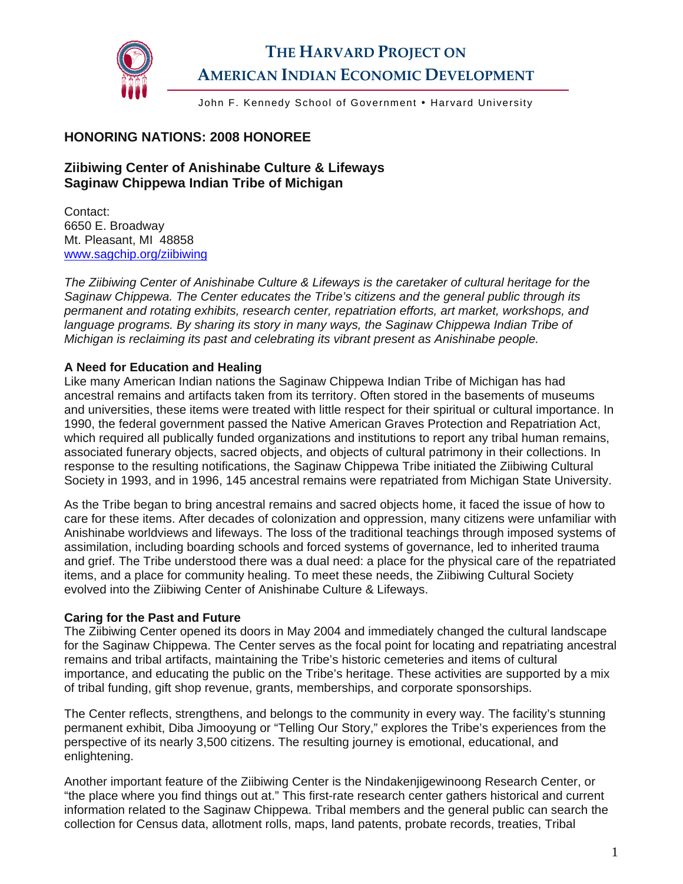

# **THE HARVARD PROJECT ON AMERICAN INDIAN ECONOMIC DEVELOPMENT**

John F. Kennedy School of Government • Harvard University

# **HONORING NATIONS: 2008 HONOREE**

# **Ziibiwing Center of Anishinabe Culture & Lifeways Saginaw Chippewa Indian Tribe of Michigan**

Contact: 6650 E. Broadway Mt. Pleasant, MI 48858 [www.sagchip.org/ziibiwing](http://www.sagchip.org/ziibiwing)

*The Ziibiwing Center of Anishinabe Culture & Lifeways is the caretaker of cultural heritage for the Saginaw Chippewa. The Center educates the Tribe's citizens and the general public through its permanent and rotating exhibits, research center, repatriation efforts, art market, workshops, and*  language programs. By sharing its story in many ways, the Saginaw Chippewa Indian Tribe of *Michigan is reclaiming its past and celebrating its vibrant present as Anishinabe people.* 

#### **A Need for Education and Healing**

Like many American Indian nations the Saginaw Chippewa Indian Tribe of Michigan has had ancestral remains and artifacts taken from its territory. Often stored in the basements of museums and universities, these items were treated with little respect for their spiritual or cultural importance. In 1990, the federal government passed the Native American Graves Protection and Repatriation Act, which required all publically funded organizations and institutions to report any tribal human remains, associated funerary objects, sacred objects, and objects of cultural patrimony in their collections. In response to the resulting notifications, the Saginaw Chippewa Tribe initiated the Ziibiwing Cultural Society in 1993, and in 1996, 145 ancestral remains were repatriated from Michigan State University.

As the Tribe began to bring ancestral remains and sacred objects home, it faced the issue of how to care for these items. After decades of colonization and oppression, many citizens were unfamiliar with Anishinabe worldviews and lifeways. The loss of the traditional teachings through imposed systems of assimilation, including boarding schools and forced systems of governance, led to inherited trauma and grief. The Tribe understood there was a dual need: a place for the physical care of the repatriated items, and a place for community healing. To meet these needs, the Ziibiwing Cultural Society evolved into the Ziibiwing Center of Anishinabe Culture & Lifeways.

#### **Caring for the Past and Future**

The Ziibiwing Center opened its doors in May 2004 and immediately changed the cultural landscape for the Saginaw Chippewa. The Center serves as the focal point for locating and repatriating ancestral remains and tribal artifacts, maintaining the Tribe's historic cemeteries and items of cultural importance, and educating the public on the Tribe's heritage. These activities are supported by a mix of tribal funding, gift shop revenue, grants, memberships, and corporate sponsorships.

The Center reflects, strengthens, and belongs to the community in every way. The facility's stunning permanent exhibit, Diba Jimooyung or "Telling Our Story," explores the Tribe's experiences from the perspective of its nearly 3,500 citizens. The resulting journey is emotional, educational, and enlightening.

Another important feature of the Ziibiwing Center is the Nindakenjigewinoong Research Center, or "the place where you find things out at." This first-rate research center gathers historical and current information related to the Saginaw Chippewa. Tribal members and the general public can search the collection for Census data, allotment rolls, maps, land patents, probate records, treaties, Tribal